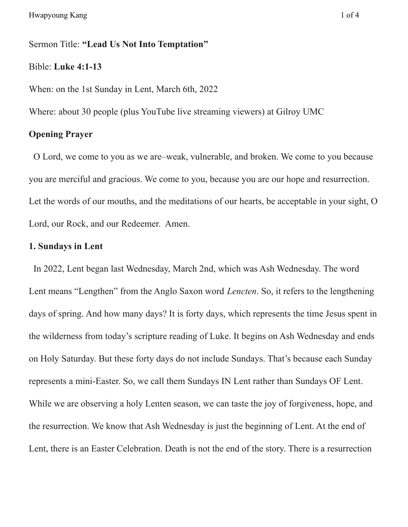#### Sermon Title: **"Lead Us Not Into Temptation"**

### Bible: **Luke 4:1-13**

When: on the 1st Sunday in Lent, March 6th, 2022

Where: about 30 people (plus YouTube live streaming viewers) at Gilroy UMC

### **Opening Prayer**

O Lord, we come to you as we are–weak, vulnerable, and broken. We come to you because you are merciful and gracious. We come to you, because you are our hope and resurrection. Let the words of our mouths, and the meditations of our hearts, be acceptable in your sight, O Lord, our Rock, and our Redeemer. Amen.

# **1. Sundays in Lent**

In 2022, Lent began last Wednesday, March 2nd, which was Ash Wednesday. The word Lent means "Lengthen" from the Anglo Saxon word *Lencten*. So, it refers to the lengthening days of spring. And how many days? It is forty days, which represents the time Jesus spent in the wilderness from today's scripture reading of Luke. It begins on Ash Wednesday and ends on Holy Saturday. But these forty days do not include Sundays. That's because each Sunday represents a mini-Easter. So, we call them Sundays IN Lent rather than Sundays OF Lent. While we are observing a holy Lenten season, we can taste the joy of forgiveness, hope, and the resurrection. We know that Ash Wednesday is just the beginning of Lent. At the end of Lent, there is an Easter Celebration. Death is not the end of the story. There is a resurrection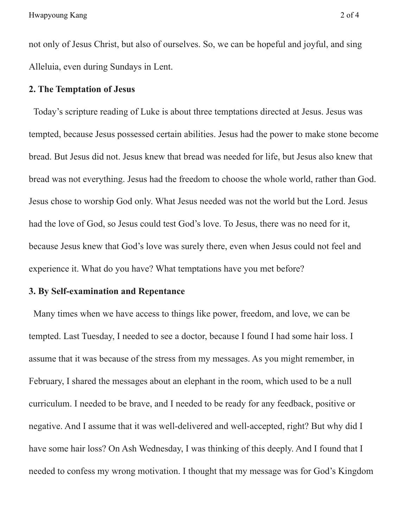not only of Jesus Christ, but also of ourselves. So, we can be hopeful and joyful, and sing Alleluia, even during Sundays in Lent.

## **2. The Temptation of Jesus**

Today's scripture reading of Luke is about three temptations directed at Jesus. Jesus was tempted, because Jesus possessed certain abilities. Jesus had the power to make stone become bread. But Jesus did not. Jesus knew that bread was needed for life, but Jesus also knew that bread was not everything. Jesus had the freedom to choose the whole world, rather than God. Jesus chose to worship God only. What Jesus needed was not the world but the Lord. Jesus had the love of God, so Jesus could test God's love. To Jesus, there was no need for it, because Jesus knew that God's love was surely there, even when Jesus could not feel and experience it. What do you have? What temptations have you met before?

## **3. By Self-examination and Repentance**

Many times when we have access to things like power, freedom, and love, we can be tempted. Last Tuesday, I needed to see a doctor, because I found I had some hair loss. I assume that it was because of the stress from my messages. As you might remember, in February, I shared the messages about an elephant in the room, which used to be a null curriculum. I needed to be brave, and I needed to be ready for any feedback, positive or negative. And I assume that it was well-delivered and well-accepted, right? But why did I have some hair loss? On Ash Wednesday, I was thinking of this deeply. And I found that I needed to confess my wrong motivation. I thought that my message was for God's Kingdom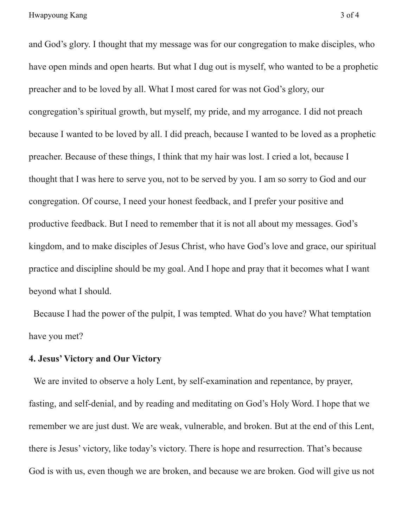and God's glory. I thought that my message was for our congregation to make disciples, who have open minds and open hearts. But what I dug out is myself, who wanted to be a prophetic preacher and to be loved by all. What I most cared for was not God's glory, our congregation's spiritual growth, but myself, my pride, and my arrogance. I did not preach because I wanted to be loved by all. I did preach, because I wanted to be loved as a prophetic preacher. Because of these things, I think that my hair was lost. I cried a lot, because I thought that I was here to serve you, not to be served by you. I am so sorry to God and our congregation. Of course, I need your honest feedback, and I prefer your positive and productive feedback. But I need to remember that it is not all about my messages. God's kingdom, and to make disciples of Jesus Christ, who have God's love and grace, our spiritual practice and discipline should be my goal. And I hope and pray that it becomes what I want beyond what I should.

Because I had the power of the pulpit, I was tempted. What do you have? What temptation have you met?

# **4. Jesus' Victory and Our Victory**

We are invited to observe a holy Lent, by self-examination and repentance, by prayer, fasting, and self-denial, and by reading and meditating on God's Holy Word. I hope that we remember we are just dust. We are weak, vulnerable, and broken. But at the end of this Lent, there is Jesus' victory, like today's victory. There is hope and resurrection. That's because God is with us, even though we are broken, and because we are broken. God will give us not